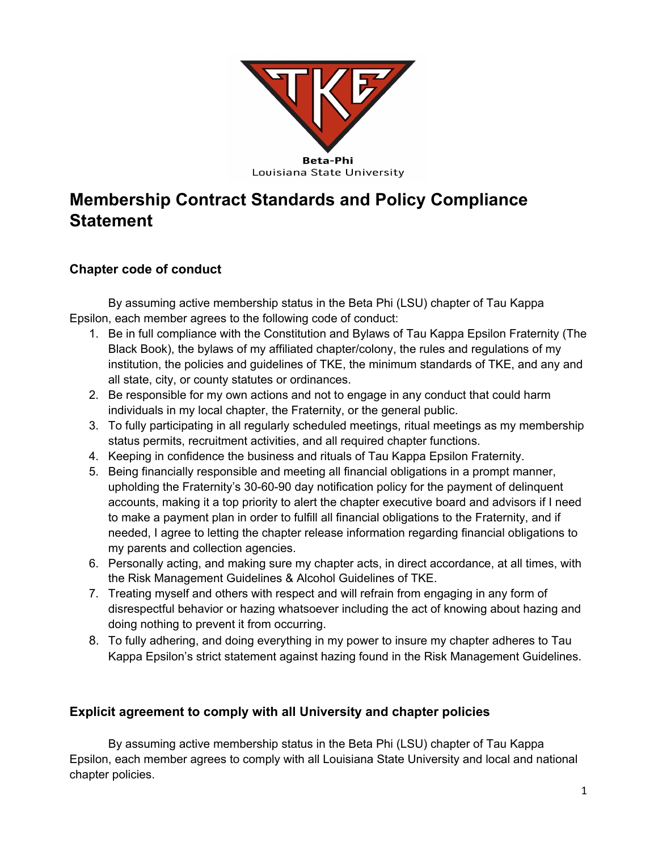

# **Membership Contract Standards and Policy Compliance Statement**

## **Chapter code of conduct**

By assuming active membership status in the Beta Phi (LSU) chapter of Tau Kappa Epsilon, each member agrees to the following code of conduct:

- 1. Be in full compliance with the Constitution and Bylaws of Tau Kappa Epsilon Fraternity (The Black Book), the bylaws of my affiliated chapter/colony, the rules and regulations of my institution, the policies and guidelines of TKE, the minimum standards of TKE, and any and all state, city, or county statutes or ordinances.
- 2. Be responsible for my own actions and not to engage in any conduct that could harm individuals in my local chapter, the Fraternity, or the general public.
- 3. To fully participating in all regularly scheduled meetings, ritual meetings as my membership status permits, recruitment activities, and all required chapter functions.
- 4. Keeping in confidence the business and rituals of Tau Kappa Epsilon Fraternity.
- 5. Being financially responsible and meeting all financial obligations in a prompt manner, upholding the Fraternity's 30-60-90 day notification policy for the payment of delinquent accounts, making it a top priority to alert the chapter executive board and advisors if I need to make a payment plan in order to fulfill all financial obligations to the Fraternity, and if needed, I agree to letting the chapter release information regarding financial obligations to my parents and collection agencies.
- 6. Personally acting, and making sure my chapter acts, in direct accordance, at all times, with the Risk Management Guidelines & Alcohol Guidelines of TKE.
- 7. Treating myself and others with respect and will refrain from engaging in any form of disrespectful behavior or hazing whatsoever including the act of knowing about hazing and doing nothing to prevent it from occurring.
- 8. To fully adhering, and doing everything in my power to insure my chapter adheres to Tau Kappa Epsilon's strict statement against hazing found in the Risk Management Guidelines.

## **Explicit agreement to comply with all University and chapter policies**

By assuming active membership status in the Beta Phi (LSU) chapter of Tau Kappa Epsilon, each member agrees to comply with all Louisiana State University and local and national chapter policies.